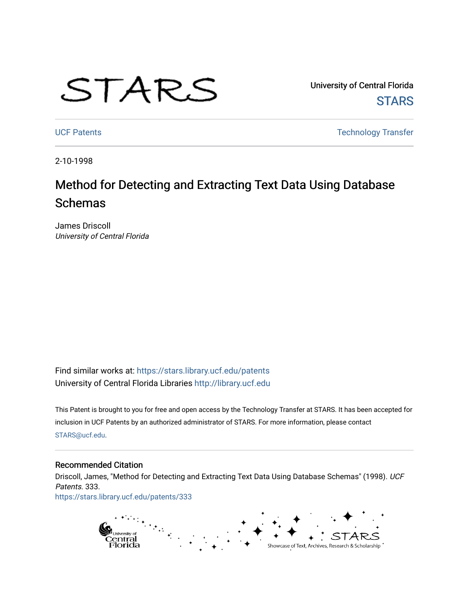# STARS

University of Central Florida **STARS** 

[UCF Patents](https://stars.library.ucf.edu/patents) **Technology Transfer** 

2-10-1998

# Method for Detecting and Extracting Text Data Using Database Schemas

James Driscoll University of Central Florida

Find similar works at: <https://stars.library.ucf.edu/patents> University of Central Florida Libraries [http://library.ucf.edu](http://library.ucf.edu/) 

This Patent is brought to you for free and open access by the Technology Transfer at STARS. It has been accepted for inclusion in UCF Patents by an authorized administrator of STARS. For more information, please contact [STARS@ucf.edu](mailto:STARS@ucf.edu).

## Recommended Citation

Driscoll, James, "Method for Detecting and Extracting Text Data Using Database Schemas" (1998). UCF Patents. 333. [https://stars.library.ucf.edu/patents/333](https://stars.library.ucf.edu/patents/333?utm_source=stars.library.ucf.edu%2Fpatents%2F333&utm_medium=PDF&utm_campaign=PDFCoverPages) 

> g<br>Central<br>Florida Showcase of Text, Archives, Research & Scholarship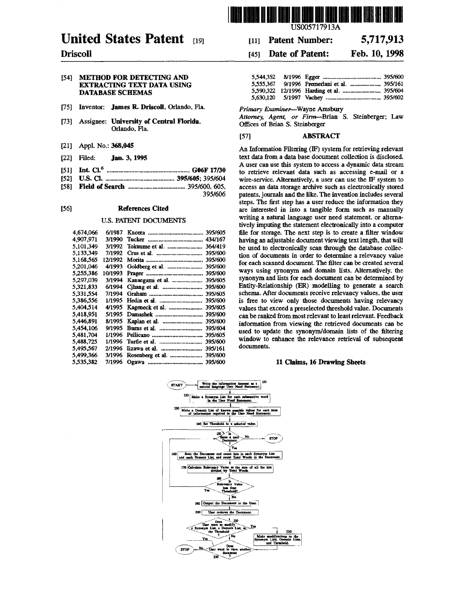

# United States Patent [19]

## Driscoll

#### [54] METHOD FOR DETECTING AND EXTRACTING TEXT DATA USING DATABASE SCHEMAS

- [75] Inventor: James R. Driscoll. Orlando, Fla.
- [73] Assignee: University of Central Florida. Orlando, Fla.
- [21] Appl. No.: 368,045
- (22] Filed: Jan. 3, 1995
- [51] Int. Cl.6 ...................................................... G06F 17/30
- (52] U.S. Cl .............................................. 395/605; 395/604
- (58] Field of Search ..................................... 395/600, 605, 395/606

#### (56] References Cited

#### U.S. PATENT DOCUMENTS

| 4.674.066 | 6/1987  |                  | 395/605 |
|-----------|---------|------------------|---------|
| 4,907,971 | 3/1990  |                  | 434/167 |
| 5.101.349 | 3/1992  | Tokuume et al.   | 364/419 |
| 5.133.349 | 7/1992  |                  | 395/600 |
| 5.168.565 | 12/1992 |                  | 395/600 |
| 5,201,046 | 4/1993  |                  | 395/600 |
| 5.255.386 | 10/1993 |                  | 395/600 |
| 5.297.039 | 3/1994  | Kanaegami et al. | 395/605 |
| 5.321.833 | 6/1994  |                  | 395/600 |
| 5.331.554 | 7/1994  |                  | 395/605 |
| 5.386.556 | 1/1995  | Hedin et al.     | 395/600 |
| 5.404.514 | 4/1995  | Kageneck et al.  | 395/605 |
| 5.418.951 | 5/1995  | Damashek         | 395/600 |
| 5.446.891 | 8/1995  | Kaplan et al.    | 395/600 |
| 5,454,106 | 9/1995  |                  | 395/604 |
| 5.481.704 | 1/1996  | Pellicano        | 395/605 |
| 5.488.725 | 1/1996  | Turtle et al.    | 395/600 |
| 5,495.567 | 2/1996  | Lizawa et al.    | 395/161 |
| 5,499,366 | 3/1996  | Rosenberg et al. | 395/600 |
| 5,535,382 | 7/1996  |                  | 395/600 |
|           |         |                  |         |

US005717913A

#### [111 Patent Number: 5,717,913

#### [451 Date of Patent: Feb. 10, 1998

*Primary Examiner*-Wayne Amsbury

Attorney, Agent, or Firm-Brian S. Steinberger; Law Offices of Brian S. Steinberger

### (57] ABSTRACT

An Information Filtering (IF) system for retrieving relevant text data from a data base document collection is disclosed. A user can use this system to access a dynamic data stream to retrieve relevant data such as accessing e-mail or a wire-service. Alternatively, a user can use the IF system to access an data storage archive such as electronically stored patents. journals and the like. The invention includes several steps. The first step has a user reduce the information they are interested in into a tangible form such as manually writing a natural language user need statement. or alternatively imputing the statement electronically into a computer file for storage. The next step is to create a filter window having an adjustable document viewing text length, that will be used to electronically scan through the database collection of documents in order to determine a relevancy value for each scanned document. The filter can be created several ways using synonym and domain lists. Alternatively. the synonym and lists for each document can be determined by Entity-Relationship (ER) modelling to generate a search schema. After documents receive relevancy values. the user is free to view only those documents having relevancy values that exceed a preselected threshold value. Documents can be ranked from most relevant to least relevant. Feedback information from viewing the retrieved documents can be used to update the synonym/domain lists of the filtering window to enhance the relevance retrieval of subsequent documents.

#### 11 Claims, 16 Drawing Sheets

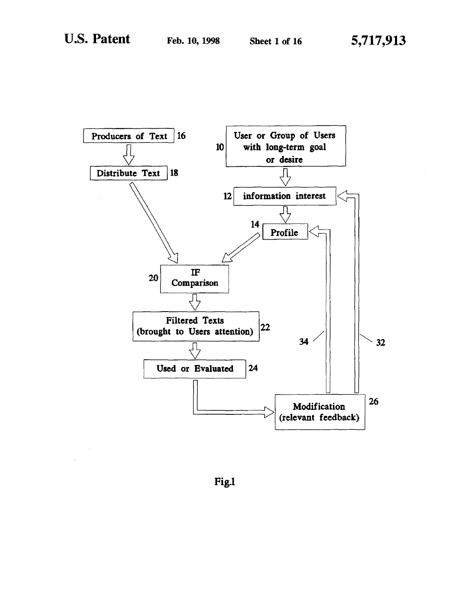

Fig.1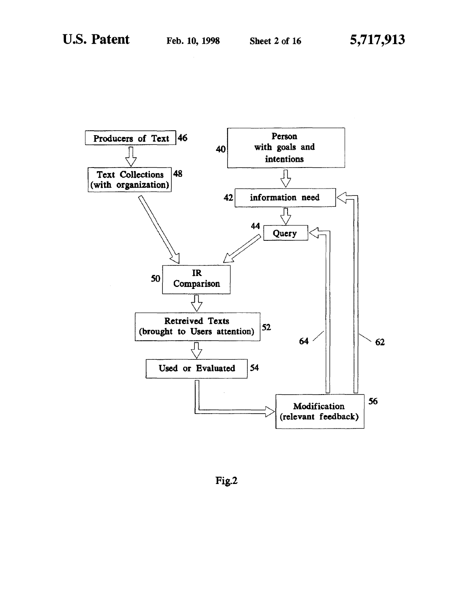

Fig.2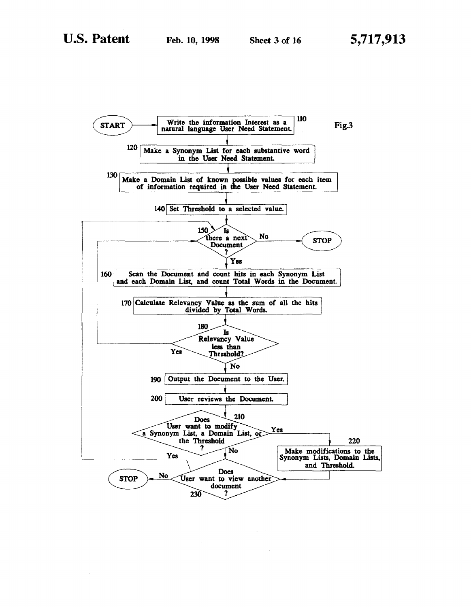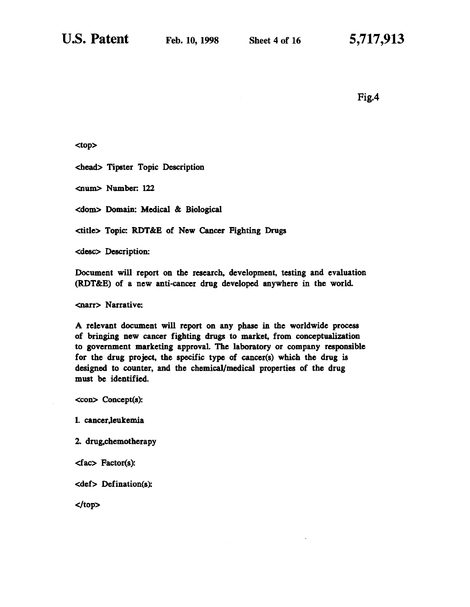Fig.4

<top>

<head> Tipster Topic Description

<num> Number: U2

<dom> Domain: Medical & Biological

<title> Topic: RDT&B of New Cancer Fighting Drugs

<desc> Description:

Document will report on the research, development, testing and evaluation (RDT&B) of a new anti-cancer drug developed anywhere in the world

<narr> Narrative:

A relevant document will report on any phase in the worldwide process of bringing new cancer fighting drugs to market, from conceptualization to government marketing approval The laboratory or company responsible for the drug project, the specific type of cancer(s) which the drug is designed to counter, and the chemical/medical properties of the drug must be identified.

<con> Concept(s):

I. cancer,leukemia

2. drug.chemotherapy

<fac> Factor(s):

<def> Defination{s):

</top>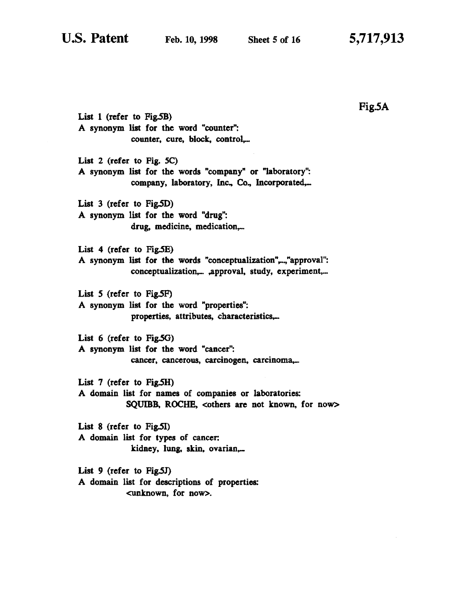List 1 (refer to  $Fig.5B$ ) A synonym list for the word "counter": counter, cure, block, control,... List 2 (refer to Fig. *SC)*  A synonym list for the words "company" or "laboratory": company, laboratory, Inc., Co., Incorporated,... List 3 (refer to Fig.SD) A synonym list for the word "drug": drug, medicine, medication,... List 4 (refer to Fig.SE) A synonym list for the words "conceptualization",..,"approval": conceptualization,... ,approval, study, experiment,... List 5 (refer to Fig.5F) A synonym list for the word "properties": properties, attributes, characteristics,... List 6 (refer to Fig.5G) A synonym list for the word "cancer": cancer, cancerous, carcinogen, carcinoma,... List  $7$  (refer to Fig.5H) A domain list for names of companies or laboratories: SQUIBB. ROCHE, <others are not known, for now> List  $8$  (refer to Fig.5I) A domain list for types of cancer: kidney, lung, skin, ovarian\_ List 9 (refer to Fig.SJ) A domain list for descriptions of properties:

<unknown, for now>.

Fig.5A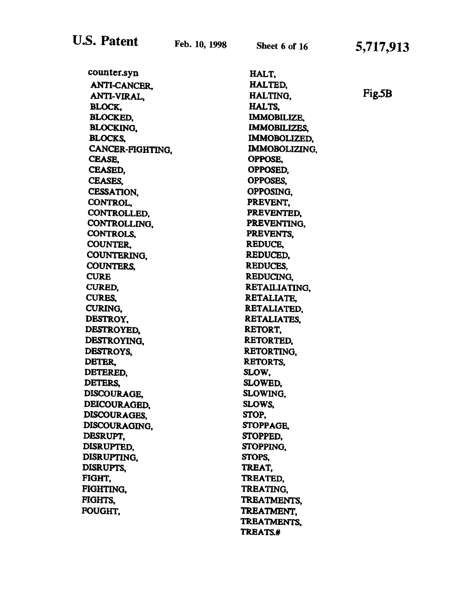5,717,913

| counter.syn         | HALT,                |  |  |
|---------------------|----------------------|--|--|
| <b>ANTI-CANCER.</b> | HALTED,              |  |  |
| ANTI-VIRAL.         | Fig.5B<br>HALTING.   |  |  |
| BLOCK,              | HALTS.               |  |  |
| <b>BLOCKED,</b>     | <b>IMMOBILIZE,</b>   |  |  |
| <b>BLOCKING,</b>    | <b>IMMOBILIZES,</b>  |  |  |
| <b>BLOCKS.</b>      | IMMOBOLIZED,         |  |  |
| CANCER-FIGHTING,    | <b>IMMOBOLIZING.</b> |  |  |
| CEASE,              | OPPOSE.              |  |  |
| CEASED.             | OPPOSED,             |  |  |
| <b>CEASES,</b>      | OPPOSES,             |  |  |
| <b>CESSATION.</b>   | OPPOSING.            |  |  |
| CONTROL.            | PREVENT.             |  |  |
| CONTROLLED,         | PREVENTED.           |  |  |
| CONTROLLING,        | PREVENTING,          |  |  |
| CONTROLS,           | PREVENTS.            |  |  |
| COUNTER.            | REDUCE,              |  |  |
| COUNTERING,         | REDUCED,             |  |  |
| <b>COUNTERS.</b>    | REDUCES.             |  |  |
| <b>CURE</b>         | REDUCING.            |  |  |
| <b>CURED.</b>       | RETAILIATING.        |  |  |
| CURES.              | RETALIATE.           |  |  |
| CURING.             | RETALIATED.          |  |  |
| DESTROY,            | <b>RETALIATES.</b>   |  |  |
| DESTROYED.          | RETORT,              |  |  |
| DESTROYING.         | RETORTED,            |  |  |
| DESTROYS.           | <b>RETORTING.</b>    |  |  |
| DETER,              | <b>RETORTS.</b>      |  |  |
| DETERED,            | SLOW.                |  |  |
| DETERS,             | SLOWED.              |  |  |
| <b>DISCOURAGE.</b>  | SLOWING,             |  |  |
| DEICOURAGED,        | SLOWS,               |  |  |
| DISCOURAGES,        | STOP,                |  |  |
| DISCOURAGING.       | STOPPAGE,            |  |  |
| DESRUPT,            | STOPPED.             |  |  |
| DISRUPTED.          | STOPPING,            |  |  |
| DISRUPTING,         | STOPS,               |  |  |
| DISRUPTS.           | TREAT,               |  |  |
| FIGHT.              | TREATED,             |  |  |
| FIGHTING,           | TREATING,            |  |  |
| FIGHTS.             | TREATMENTS.          |  |  |
| <b>FOUGHT,</b>      | TREATMENT.           |  |  |
|                     | TREATMENTS.          |  |  |
|                     | TREATS.#             |  |  |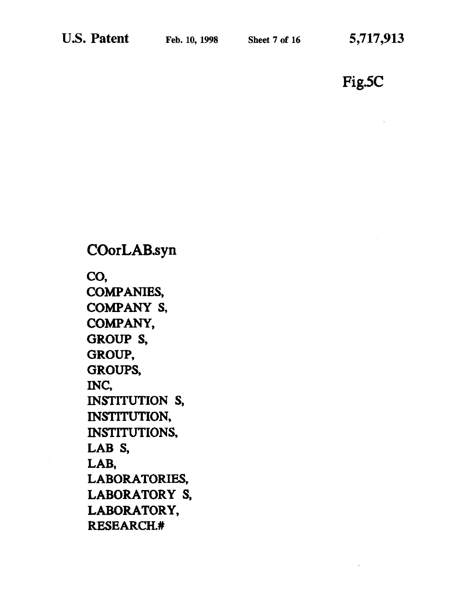Fig.SC

COorLAB.syn co, COMPANIES, COMPANY S, COMPANY, GROUP<sub>S</sub>, GROUP, GROUPS, INC, INSTITUTION S, INSTITUTION, INSTITUTIONS, LAB<sub>S</sub>, LAB, LABORATORIES, LABORATORY S, LABORATORY, RESEARCH.#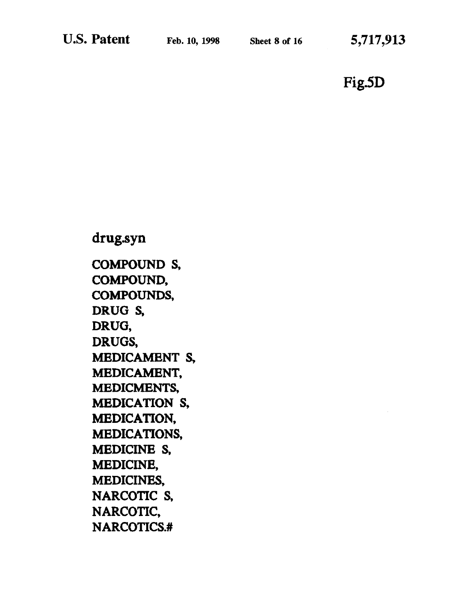Sheet 8 of 16 5,717,913

Fig.SD

# drug.syn COMPOUND S, COMPOUND, COMPOUNDS, DRUG<sub>S</sub>, DRUG, DRUGS, MEDICAMENT S, MEDICAMENT, MEDICMENTS, MEDICATION S, MEDICATION, MEDICATIONS, MEDICINE S, MEDICINE, MEDICINES, NARCOTIC S. NARCOTIC, NARCOTICS.#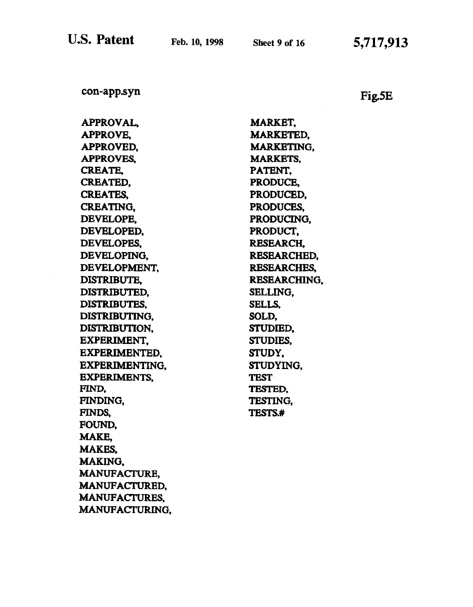U.S. Patent

con-app.syn

Fig.SE

| <b>APPROVAL,</b>      | <b>MARKET,</b>    |
|-----------------------|-------------------|
| <b>APPROVE,</b>       | <b>MARKETED.</b>  |
| <b>APPROVED.</b>      | <b>MARKETING.</b> |
| <b>APPROVES.</b>      | <b>MARKETS.</b>   |
| <b>CREATE,</b>        | PATENT.           |
| CREATED,              | PRODUCE,          |
| <b>CREATES.</b>       | PRODUCED,         |
| <b>CREATING.</b>      | PRODUCES,         |
| DEVELOPE.             | PRODUCING.        |
| <b>DEVELOPED.</b>     | PRODUCT,          |
| DEVELOPES.            | <b>RESEARCH.</b>  |
| DEVELOPING.           | RESEARCHED.       |
| DEVELOPMENT,          | RESEARCHES,       |
| <b>DISTRIBUTE.</b>    | RESEARCHING.      |
| DISTRIBUTED,          | SELLING.          |
| <b>DISTRIBUTES,</b>   | SELLS.            |
| DISTRIBUTING.         | SOLD,             |
| <b>DISTRIBUTION.</b>  | STUDIED,          |
| EXPERIMENT.           | STUDIES,          |
| EXPERIMENTED.         | <b>STUDY.</b>     |
| <b>EXPERIMENTING,</b> | <b>STUDYING.</b>  |
| <b>EXPERIMENTS.</b>   | <b>TEST</b>       |
| FIND,                 | TESTED.           |
| <b>FINDING,</b>       | <b>TESTING,</b>   |
| FINDS.                | TESTS.#           |
| FOUND.                |                   |
| <b>MAKE.</b>          |                   |
| <b>MAKES.</b>         |                   |
| MAKING,               |                   |
| <b>MANUFACTURE,</b>   |                   |
| <b>MANUFACTURED.</b>  |                   |
| <b>MANUFACTURES.</b>  |                   |
| <b>MANUFACTURING,</b> |                   |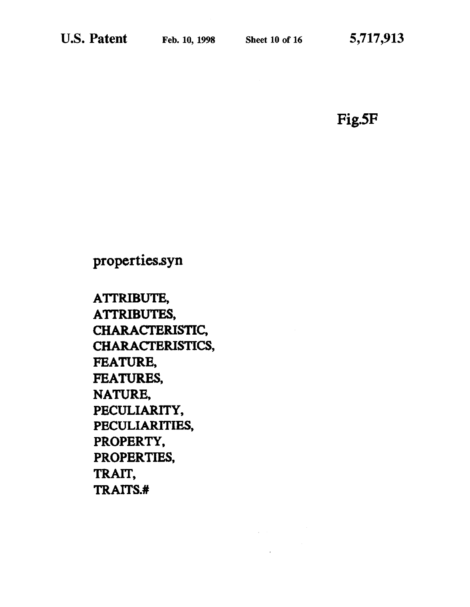Fig.SF

properties.syn

ATIRIBUTE, ATTRIBUTES, CHARACTERISTIC, CHARACTERISTICS, FEATURE, FEATURES, NATURE, PECULIARITY, PECULIARITIES, PROPERTY, PROPERTIES, TRAIT, TRAITS.#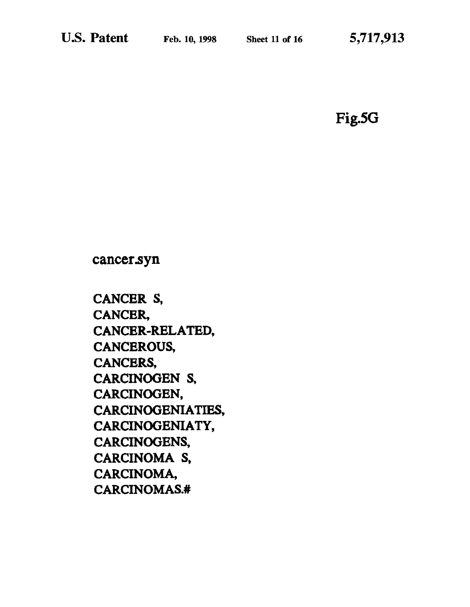# Fig.SG

cancer.syn

CANCER S, CANCER, CANCER-RELATED, CANCEROUS, CANCERS, CARCINOGEN S, CARCINOGEN, CARCINOGENIA TIES, CARCINOGENIATY, CARCINOGENS, CARCINOMA S, CARCINOMA, CARCINOMAS.#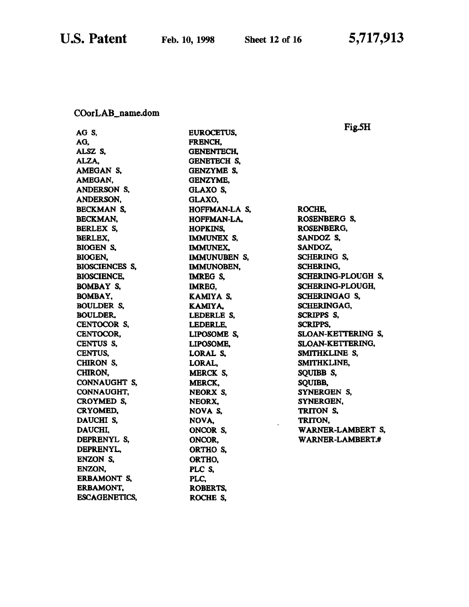COorLAB\_name.dom

|                      |                   | Fig.5H                |
|----------------------|-------------------|-----------------------|
| AG S,                | EUROCETUS,        |                       |
| AG.                  | FRENCH.           |                       |
| ALSZ S,              | <b>GENENTECH.</b> |                       |
| ALZA,                | GENETECH S.       |                       |
| AMEGAN S,            | <b>GENZYME S,</b> |                       |
| AMEGAN,              | <b>GENZYME,</b>   |                       |
| ANDERSON S,          | GLAXO S,          |                       |
| ANDERSON,            | GLAXO,            |                       |
| BECKMAN S,           | HOFFMAN-LA S,     | ROCHE,                |
| BECKMAN,             | HOFFMAN-LA,       | ROSENBERG S,          |
| BERLEX S,            | <b>HOPKINS,</b>   | ROSENBERG,            |
| BERLEX,              | IMMUNEX S,        | SANDOZ S,             |
| BIOGEN S,            | <b>IMMUNEX.</b>   | SANDOZ,               |
| BIOGEN,              | IMMUNUBEN S,      | SCHERING S,           |
| BIOSCIENCES S,       | IMMUNOBEN,        | SCHERING,             |
| <b>BIOSCIENCE,</b>   | <b>IMREG S,</b>   | SCHERING-PLOUGH S,    |
| <b>BOMBAY S.</b>     | IMREG,            | SCHERING-PLOUGH,      |
| <b>BOMBAY,</b>       | KAMIYA S,         | SCHERINGAG S.         |
| <b>BOULDER S,</b>    | KAMIYA.           | SCHERINGAG,           |
| <b>BOULDER.</b>      | LEDERLE S,        | SCRIPPS S,            |
| CENTOCOR S,          | LEDERLE,          | <b>SCRIPPS,</b>       |
| CENTOCOR,            | LIPOSOME S,       | SLOAN-KETTERING S,    |
| CENTUS S,            | LIPOSOME,         | SLOAN-KETTERING,      |
| CENTUS,              | LORAL S,          | SMITHKLINE S,         |
| CHIRON S,            | LORAL,            | SMITHKLINE,           |
| CHIRON,              | MERCK S,          | SQUIBB <sub>S</sub> , |
| CONNAUGHT S,         | <b>MERCK.</b>     | <b>SQUIBB,</b>        |
| CONNAUGHT,           | NEORX S,          | SYNERGEN S,           |
| CROYMED S.           | NEORX,            | SYNERGEN,             |
| CRYOMED.             | NOVA S,           | TRITON S,             |
| DAUCHI S.            | NOVA,             | TRITON,               |
| DAUCHI,              | ONCOR S.          | WARNER-LAMBERT S,     |
| DEPRENYL S,          | ONCOR,            | WARNER-LAMBERT.#      |
| DEPRENYL,            | ORTHO S.          |                       |
| ENZON S.             | ORTHO.            |                       |
| ENZON.               | PLC S,            |                       |
| <b>ERBAMONT S,</b>   | PLC,              |                       |
| <b>ERBAMONT,</b>     | ROBERTS,          |                       |
| <b>ESCAGENETICS,</b> | ROCHE S,          |                       |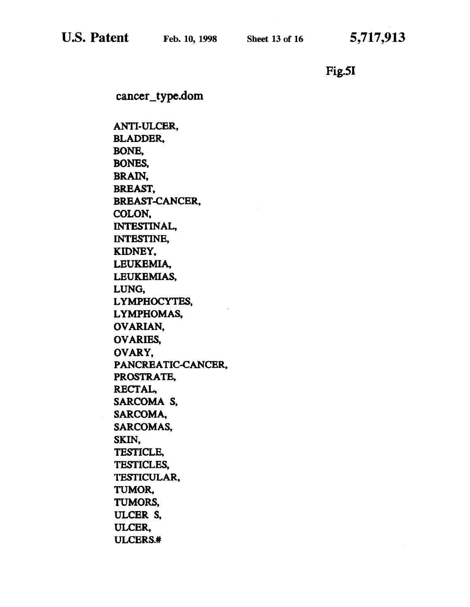Fig.SI

cancer\_type.dom

ANTI-ULCER, BLADDER. BONE, BONES, BRAIN, BREAST, BREAST-CANCER, COLON, INTESTINAL, INTESTINE, KIDNEY, LEUKEMIA, LEUKEMIAS, LUNG, LYMPHOCYTES, LYMPHOMAS, OVARIAN, OVARIES, OVARY, PANCREATIC-CANCER, PROSTRATE, RECTAL, SARCOMA<sub>S</sub>, SARCOMA, SARCOMAS, SKIN, TESTICLE, TESTICLES, TESTICULAR, TUMOR, TUMORS, ULCER S, ULCER, ULCERS.#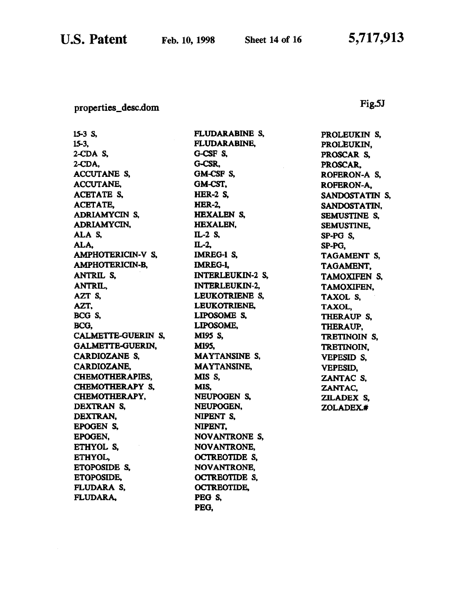## properties\_desc.dom

# Fig.SJ

lS-3 s, 15-3, 2-CDA S, 2-COA, ACCUTANE S, ACCUTANE, ACETATE S, ACETATE, ADRIAMYCIN S. ADRIAMYCIN, ALA<sub>S</sub>. ALA, AMPHOTERICIN-V S, AMPHOTERICIN-B, ANTRIL s. ANTRIL. AZT S, AZT, BCG S, BCO, CALMETTE-GUERIN S, GALMETIE-GUERIN, CARDIOZANE S, CARDIOZANE, CHEMOTHERAPIES, CHEMOTHERAPY S, CHEMOTHERAPY, DBXTRAN S. DEXTRAN, EPOGEN S, EPOGEN, ETHYOL S, ETHYOL, ETOPOSIDE S. ETOPOSIDE, FLUDARA S, FLUDARA,

FLUDARABINE S, FLUDARABINE, G-CSF S, G-CSR, OM-CSP S, OM-CST, **HER-2 S,** HBR-2, HEXALEN S, HEXALEN, IL-2 S. IL-2. IMREG-1 S, IMRE0-1, INTERLBUKIN-2 S, INTERLEUKIN-2, LEUKOTRIENB S, LEUKOTRIENE, LIPOSOME S, LIPOSOME, M19S S, M19S, MA YTANSINE S, MAYTANSINE, MIS<sub>S</sub>, MIS, NEUPOOEN S. NEUPOOBN, NIPENT S, NIPBNT, NOV ANTRONE S, NOVANTRONE, OCTRBOTIDB S, NOVANTRONE, OCTRBOTIDE S, OCTREOTIDE, PEG S, PEG,

PROLEUKIN S, PROLEUKIN, PROSCAR S, PROSCAR, ROPERON-A S, ROFERON-A, SANOOSTATIN S, SANDOSTATIN, SEMUSTINE S, SEMUSTINE, SP-PO S, SP-PG, TAGAMENT S, TAOAMENT, TAMOXIFEN S, TAMOXIFEN, TAXOL S, TAXOL, THERAUP S, THERAUP, TRBTINOIN S, TRBTINOIN, VEPESID S, VEPESID, ZANTAC S, ZANTAC, ZILADEX S, ZOLADEX.#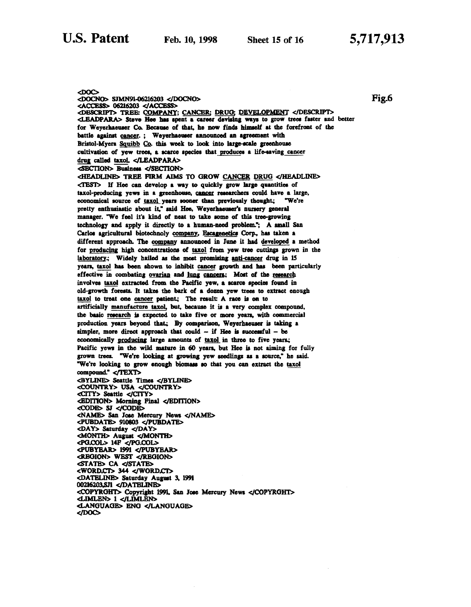<DOC> <DOCNO> SJMN9l-06216203 <IDOCNO> <ACCESS> 06216203 </ACCESS> <DBSCRIPT> TREE: COMPANY; CANCER; DRUG; DEVELOPMENT </DESCRIPT> <LBADPARA> Steve Hee his 1pent a career deviliq waya to grow treee futer and better for Weyerhaeuser Co. Because of that, he now finds himself at the forefront of the battle against cancer.; Weyerhaemer announced an agreement with Bristol-Myers Squibb Co. this week to look into large-scale greenhouse cultivation of yew trees, a scarce species that produces a life-saving cancer drug called taxol. </LEADPARA> <SBCTION> Buaioeu </SBCTION> <HEADLINE> TREE FIRM AIMS TO GROW CANCER DRUG </HEADLINE>  $\langle$ TEST $\rangle$  If Hee can develop a way to quickly grow large quantities of taxol-producing yews in a greenhouse, cancer researchers could have a large, economical source of taxol years sooner than previously thought.; "We're pretty enthusiastic about it," said Hee. Weyerhaeuser's nursery general manager. "We feel it's kind of neat to take some of this tree-growing technology and apply it directly to a human-need problem."; A small San Carlos agricultural biotechnoly company, Escagenetics Corp., has taken a different approach. The company announced in June it had developed a method for producing high concentrations of taxol from yew tree cuttings grown in the laboratory.; Widely hailed as the most promising anti-cancer drug in 15 years, taxol has been shown to inhibit cancer growth and has been particularly effective in combating ovarian and lung cancern; Most of the research involves taxol extracted from the Pacific yew, a scarce species found in old-growth forests. It takes the bark of a dozen yew trees to extract enough taxol to treat one cancer patient; The result: A race is on to artificially manufacture taxol, but, because it is a very complex compound, the basic research is expected to take five or more years, with commercial production years beyond that.; By comparison. Weyerhaeuser is taking a simpler, more direct approach that could  $-$  if Hee is successful  $-$  be economically producing large amounts of taxol in three to five years.; Pacific yews in the wild mature in 60 years, but Hee is not aiming for fully grown trees. "We're looking at growing yew seedlings as a source," he said. "We're looking to grow enough biomass so that you can extract the taxol compound." </TEXT> <BYLINE> Seattle Times </BYLINE> <COUNTRY> USA </COUNTR.Y> <CITY> Seattle </CITY> <BDITION> Morning Final </BDITION> <CODB> SJ </CODB> <NAME> San Jose Mercury News </NAME> <PUBDA TB> 910803 <IPUBDA TB> <DAY> Saturday </DAY> <MONTH> August </MONTH> <PO.COL> 14P <JPG.COL> <PUBYEAR> 1991 </PUBYEAR> <RBGION> WEST </R.BGION> STATE> CA </STATE> <WORD.CT> 344 </WORD.ct'> <DATBLINB> Saturday Auguat 3. 1991 00216203,SJl </DA TBLINB> <COPYRGHT> Copyright 1991. San Jose Mercury News </COPYRGHT> <LIMLBN> I </LIMLBN> <LANOUAGB> ENO </LANOUAGB> </DOC>

Fig.6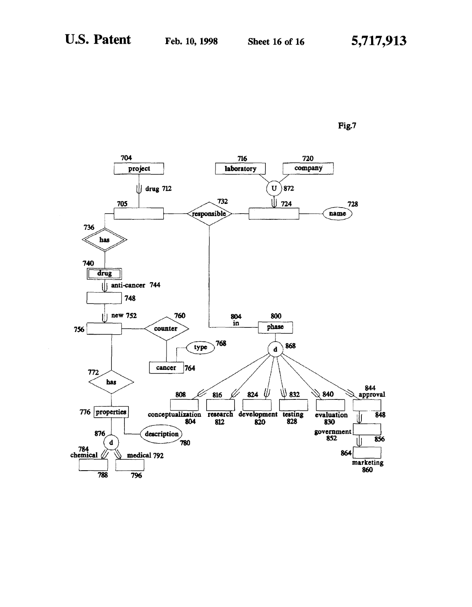

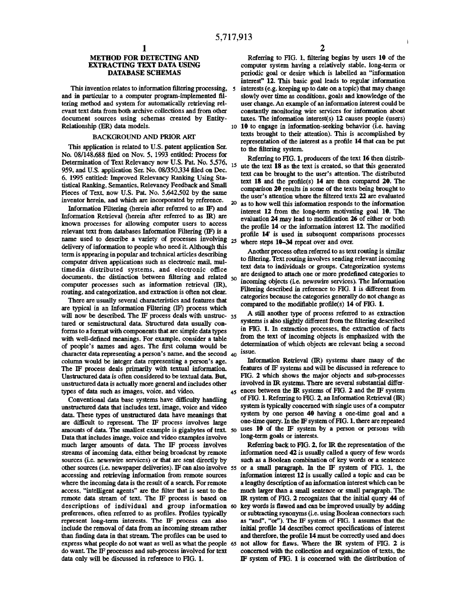#### METHOD FOR DETECTING AND EXTRACTING TEXT DATA USING DATABASE SCHEMAS

This invention relates to information filtering processing, and in particular to a computer program-implemented filtering method and system for automatically retrieving relevant text data from both archive collections and from other document sources using schemas created by Entity-Relationship (ER) data models.

#### BACKGROUND AND PRIOR ARf

This application is related to U.S. patent application Ser. No. 08/148,688 filed on Nov. 5, 1993 entitled: Process for Determination of Text Relevancy now U.S. Pat. No. 5,576, 959. and U.S. application Ser. No. 08/350,334 filed on Dec. 6. 1995 entitled: Improved Relevancy Ranking Using Statistical Ranking, Semantics, Relevancy Feedback and Small Pieces of Text, now U.S. Pat. No. 5.642.502 by the same inventor herein, and which are incorporated by reference.

Information Filtering (herein after referred to as IF) and Information Retrieval (herein after referred to as IR) are known processes for allowing computer users to access relevant text from databases Information Filtering (IF) is a name used to describe a variety of processes involving 25 delivery of information to people who need it Although this term is appearing in popular and technical articles describing computer driven applications such as electronic mail, multimedia distributed systems, and electronic office documents, the distinction between filtering and related  $_{30}$ computer processes such as information retrieval (IR), routing, and categorization. and extraction is often not clear.

are typical in an Information Filtering (1F) process which will now be described. The IF process deals with unstruc- 35 tured or semistructural data. Structured data usually conforms to a format with components that are simple data types with well-defined meanings. For example. consider a table determination of which objects are relevant being a second<br>of people's names and ages. The first column would be<br>abanded ages. The first column would be agency is names and the second is a lissue. character data representing a person's name, and the second  $40^{18\text{SUC}}$ .<br>column would be integer data representing a person's age. Information Retrieval (IR) systems share many of the column would be integer data representing a person's age. Information Retrieval (IR) systems share many of the<br>The IF process deals primarily with textual information, features of IF systems and will be discussed in refere The IF process deals primarily with textual information. features of IF systems and will be discussed in reference to Unstructured data is often considered to be textual data. But. FIG. 2 which shows the major objects and Unstructured data is often considered to be textual data. But, unstructured data is actually more general and includes other involved in IR systems. There are several substantial differ-

unstructured data that includes text, image, voice and video data. These types of unstructured data have meanings that system by one person 40 having a one-time goal and a<br>are difficult to represent. The IF process involves large one-time query. In the IF system of FIG. 1, there are are difficult to represent. The IF process involves large one-time query. In the IF system of FIG. 1, there are repeated<br>amounts of data. The smallest example is gigabytes of text, so uses 10 of the IF system by a person amounts of data. The smallest example is gigabytes of text. *so* uses 10 of the IF system<br>Data that includes image, voice and video examples involve long-term goals or interests. Data that includes image, voice and video examples involve much larger amounts of data. The IF process involves Referring back to FIG. 2, for IR the representation of the streams of incoming data, either being broadcast by remote information need 42 is usually called a query of few words sources (i.e. newswire services) or that are sent directly by such as a Boolean combination of key words or a sentence other sources (i.e. newspaper deliveries). IF can also involve *ss* or a small paragraph. In the IF system of FIG. 1, the where the incoming data is the result of a search. For remote a lengthy description of an information interest which can be access, "intelligent agents" are the filter that is sent to the much larger than a small sentence or small paragraph. The remote data stream of text. The IF process is based on IR system of FIG. 2 recognizes that the initial query 44 of descriptions of individual and group information 60 key words is flawed and can be improved usually by addi descriptions of individual and group information 60 preferences, often referred to as profiles. Profiles typically or subtracting synonyms (i.e. using Boolean connectors such represent long-term interests. The IF process can also as "and", "or"). The IF system of FIG. 1 ass include the removal of data from an incoming stream rather initial profile 14 describes correct specifications of interest than finding data in that stream. The profiles can be used to and therefore, the profile 14 must be correctly used and does express what people do not want as well as what the people 65 not allow for flaws. Where the IR system of FIG. 2 is do want. The IF processes and sub-process involved for text concerned with the collection and organization data only will be discussed in reference to FIG. 1.  $\qquad \qquad \text{IF}$  system of FIG. 1 is concerned with the distribution of

Referring to FIG. 1, filtering begins by users 10 of the computer system having a relatively stable, long-term or periodic goal or desire which is labelled an "information interest" 12. This basic goal leads to regular information interests (e.g. keeping up to date on a topic) that may change slowly over time as conditions, goals and knowledge of the user change. An example of an information interest could be constantly monitoring wire services for information about taxes. The information interest(s) 12 causes people (users) 10 10 to engage in information-seeking behavior (i.e. having texts brought to their attention). This is accomplished by representation of the interest as a profile 14 that can be put to the filtering system.

Referring to FIG. l, producers of the text 16 then distrib-15 ute the text 18 as the text is created, so that this generated text can be brought to the user's attention. The distributed text 18 and the profile(s) 14 are then compared 20. The comparison 20 results in some of the texts being brought to the user's attention where the filtered texts 22 are evaluated 20 as to how well this information responds to the information interest 12 from the long-term motivating goal 10. The evaluation 24 may lead to modification 26 of either or both the profile 14 or the information interest 12. The modified profile 14' is used in subsequent comparisons processes where steps 10-34 repeat over and over.

Another process often referred to as text routing is similar to filtering. Text routing involves sending relevant incoming text data to individuals or groups. Categorization systems are designed to attach one or more predefined categories to incoming objects (i.e. newswire services). The Information Filtering described in reference to FIG. 1 is different from categories because the categories generally do not change as There are usually several characteristics and features that categories because the categories generating of Dict in the modifiable profile(s) 14 of FIG. 1.

> A still another type of process referred to as extraction systems is also slightly different from the filtering described in FIG. 1. In extraction processes, the extraction of facts from the text of incoming objects is emphasized with the

types of data such as images, voice, and video.<br>Conventional data base systems have difficulty handling of FIG. 1. Referring to FIG. 2, an Information Retrieval (IR) Conventional data base systems have difficulty handling of FIG. 1. Referring to FIG. 2, an Information Retrieval (IR)<br>structured data that includes text, image, voice and video system is typically concerned with single use

> information interest 12 is usually called a topic and can be as "and", "or"). The IF system of FIG. 1 assumes that the concerned with the collection and organization of texts, the

f,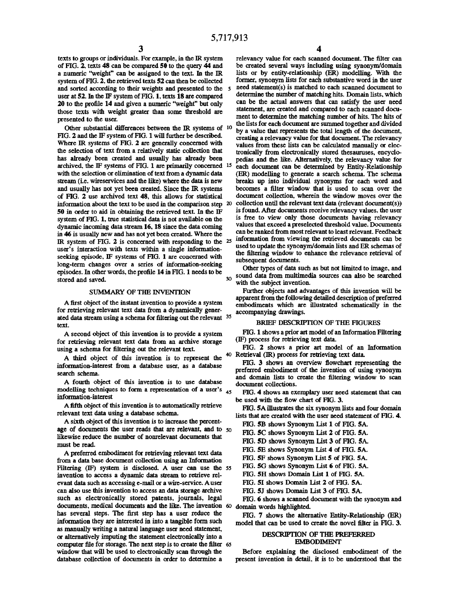texts to groups or individuals. For example, in the IR system of FIG. 2. texts 48 can be compared 50 to the query 44 and a numeric "weight" can be assigned to the text In the IR system of FIG. 2. the retrieved texts 52 can then be collected and sorted according to their weights and presented to the 5 user at S2. In the IF system of FIG. l, texts 18 are compared 20 to the profile 14 and given a numeric ''weight" but only those texts with weight greater than some threshold are presented to the user.

Other substantial differences between the IR systems of  $10$ FIG. 2 and the IF system of FIG. 1 will further be described. Where IR systems of FIG. 2 are generally concerned with the selection of text from a relatively static collection that has already been created and usually has already been archived, the IF systems of FIG. 1 are primarily concerned 15 with the selection or elimination of text from a dynamic data stream (i.e. wireservices and the like) where the data is new and usually has not yet been aeated. Since the IR systems of FIG. 2 use archived text 48, this allows for statistical information about the text to be used in the comparison step 20 50 in order to aid in obtaining the retrieved text In the IF system of FIG. 1, true statistical data is not available on the dynamic incoming data stream 16, 18 since the data coming in 46 is usually new and has not yet been created. Where the IR system of FIG. 2 is concerned with responding to the <sup>25</sup> user's interaction with texts within a single informationseeking episode, IF systems of FIG. 1 are concerned with long-term changes over a series of information-seeking episodes. In other words, the profile 14 in FIG. 1 needs to be stored and saved.

#### SUMMARY OF THE INVENTION

A first object of the instant invention to provide a system for retrieving relevant text data from a dynamically generated data stream using a schema for filtering out the relevant 35 text.

A second object of this invention is to provide a system for retrieving relevant text data from an archive storage using a schema for filtering out the relevant text

A third object of this invention is to represent the  $40$  Retrieval (IR) process for retrieving text data. information-interest from a database user, as a database search schema.

A fourth object of this invention is to use database modelling techniques to form a representation of a user's 45 information-interest

A fifth object of this invention is to automatically retrieve relevant text data using a database schema.

A sixth object of this invention is to increase the percentage of documents the user reads that are relevant, and to *so*  likewise reduce the number of nonrelevant documents that must be read.

A preferred embodiment for retrieving relevant text data from a data base document collection using an Information Ftltering (IF) system is disclosed. A user can use the *ss*  invention to access a dynamic data stream to retrieve relevant data such as accessing e-mail or a wire-service. A user can also use this invention to access an data storage archive such as electronically stored patents, journals, legal documents, medical documents and the like. The invention 60 domain words highlighted. has several steps. The first step has a user reduce the information they are interested in into a tangible form such as manually writing a natural language user need statement, or alternatively imputing the statement electronically into a computer file for storage. The next step is to create the filter *6S*  window that will be used to electronically scan through the database collection of documents in order to determine a

relevancy value for each scanned document. The filter can be created several ways including using synonym/domain lists or by entity-relationship (ER) modelling. With the fonner, synonym lists for each substantive word in the user need statement(s) is matched to each scanned document to determine the number of matching hits. Domain lists, which can be the actual answers that can satisfy the user need statement, are created and compared to each scanned document to determine the matching number of hits. The hits of

the lists for each document are summed together and divided by a value that represents the total length of the document, creating a relevancy value for that document. The relevancy values from these lists can be calculated manually or electronically from electronically stored thesauruses, encyclopedias and the like. Alternatively, the relevancy value for each document can be determined by Entity-Relationship (ER) modelling to generate a search schema. The schema breaks up into individual synonyms for each word and becomes a filter window that is used to scan over the document collection, wherein the window moves over the collection until the relevant text data (relevant document(s)) is found. After documents receive relevancy values. the user is free to view only those documents having relevancy values that exceed a preselected threshold value. Documents can be ranked from most relevant to least relevant. Feedback information from viewing the retrieved documents can be used to update the synonym/domain lists and ER schemas of the filtering window to enhance the relevance retrieval of subsequent documents.

Other types of data such as but not limited to image, and <sub>30</sub> sound data from multimedia sources can also be searched with the subject invention.

Further objects and advantages of this invention will be apparent from the following detailed description of preferred embodiments which are illustrated schematically in the accompanying drawings.

## BRIEF DESCRIPTION OF THE FIGURES

FIG. 1 shows a prior art model of an Information Filtering (IF) process for retrieving text data.

FIG. 2 shows a prior art model of an Information

FIG. 3 shows an overview flowchart representing the preferred embodiment of the invention of using synonym and domain lists to create the filtering window to scan document collections.

HG. 4 shows an exemplary user need statement that can be used with the flow chart of FIG. 3.

FIG. SA illustrates the six synonym lists and four domain lists that are created with the user need statement of FIG. 4.

- FIG. 5B shows Synonym List 1 of FIG. 5A.
- FIG. 5C shows Synonym List 2 of FIG. 5A.
- FIG. 5D shows Synonym List 3 of FIG. 5A.
- FIG. SE shows Synonym List 4 of FIG. SA.
- FIG. 5F shows Synonym List 5 of FIG. 5A.
- FIG. 5G shows Synonym List 6 of FIG. 5A.
- FIG. SH shows Domain List 1 of FIG. SA.
- FIG. 5I shows Domain List 2 of FIG. 5A.
- FIG. 5J shows Domain List 3 of FIG. 5A.

FIG. 6 shows a scanned document with the synonym and

FIG. 7 shows the alternative Entity-Relationship (ER) model that can be used to create the novel filter in FIG. 3.

#### DESCRIPTION OF THE PREFERRED EMBODIMENT

Before explaining the disclosed embodiment of the present invention in detail, it is to be understood that the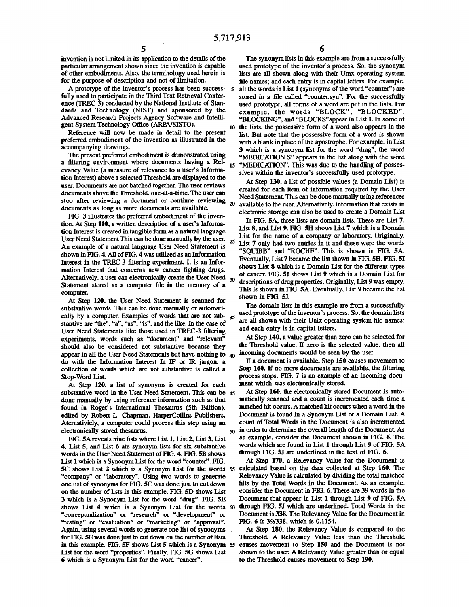tion Interest) above a selected Threshold are displayed to the user. Documents are not batched together. The user reviews At Step 130, a list of possible values (a Domain List) is<br>documents above the Threshold one at a tim documents above the Threshold, one-at-a-time. The user can stop after reviewing a document or continue reviewing documents as long as more documents are available.

FIG. 3 illustrates the preferred embodiment of the inven-<br>In FIG. 5A, three lists are domain lists. These are List 7, An example of a natural language User Need Statement is "List 7 only had two entries in it and these were the words<br>"SOUIBB" and "ROCHE". This is shown in FIG. 5A. shown in FIG. 4. All of FIG. 4 was utilized as an Information Alternatively, a user can electronically create the User Need  $_{30}$ 

At Step 120, the User Need Statement is scanned for shown in FIG. 5J.<br>At Step 120, the User Need Statement is scanned for The domain lists in this example are from a successfully substantive words. This can be done manually or automati-<br>cally by a computer Examples of words that are not sub- as used prototype of the inventor's process. So, the domain lists cally by a computer. Examples of words that are not sub-  $35$  used prototype of the inventor's process. So, the domain lists examples of the interval lists of the interval lists of the interval lists of the case of are al stantive are "the", "a", "as", "is", and the like. In the case of are all shown with their Unix operations is in capital letters. User Need Statements like those used in TREC-3 filtering and each entry is in capital letters.<br>experiments, words such as "document" and "relevant" At Step 140, a value greater than zero can be selected for experiments, words such as "document" and "relevant" should also be considered not substantive because they the Threshold value. If zero is the selected value, then all<br>spaces in all the User Need Statements but have nothing to an incoming documents would be seen by the user appear in all the User Need Statements but have nothing to  $_{40}$  incoming documents would be seen by the user.<br>do with the Information Interest In IF or IR jargon, a If a document is available. Step 150 causes movement t do with the Information Interest In IF or IR jargon, a collection of words which are not substantive is called a Step 160. If no more documents are available, the filtering Stop-Word List. process stops. FIG. 7 is an example of an incoming docu-

At Step 120, a list of synonyms is created for each ment which was electronically stored.<br>hstantive word in the User Need Statement. This can be 45 At Step 160, the electronically stored Document is autosubstantive word in the User Need Statement. This can be  $45$  At Step 160, the electronically stored Document is auto-<br>done manually by using reference information such as that matically scanned and a count is incremented done manually by using reference information such as that found in Roget's International Thesaurus (5th Edition), matched hit occurs. A matched hit occurs when a word in the edited by Robert L. Chapman, HarperCollins Publishers. Document is found in a Synonym List or a Domain List. A<br>Aternativiely, a computer could process this step using an count of Total Words in the Document is also increme Aternativiely, a computer could process this step using an

4, List 5, and List 6 ate synonym lists for six substantive words which are found in List 1 through List 9 of FIT 4.<br>Words in the User Need Statement of FIG. 4, FIG. 5B shows through FIG. 5J are underlined in the text of words in the User Need Statement of FIG. 4. FIG. 5B shows List 1 which is a Synonym List for the word "counter". FIG. At Step 170. a Relevancy Value for the Document is<br>5C shows List 2 which is a Synonym List for the words 55 calculated based on the data collected at Step 160. Th 5C shows List 2 which is a Synonym List for the words 55 calculated based on the data collected at Step 160. The<br>"company" or "laboratory". Using two words to generate Relevancy Value is calculated by dividing the total ma "company" or "laboratory". Using two words to generate one list of synonyms for FIG. 5C was done just to cut down hits by the Total Words in the Document. As an example, on the number of lists in this example. FIG. 5D shows List consider the Document in FIG. 6. There are 39 wo on the number of lists in this example. FIG. 5D shows List shows List 4 which is a Synonym List for the words 60 through FIG. 5J which are underlined. Total Words in the<br>"conceptualization" or "research" or "development" or Document is 338. The Relevancy Value for the Document in "conceptualization" or "research" or "development" or ''testing" or "evaluation" or ''marketing" or "approval". FIG. 6 is 39/338, which is 0.1154. Again, using several words to generate one list of synonyms At Step 180, the Relevancy Value is compared to the for FIG. 5E was done just to cut down on the nmnber of lists Threshold. A Relevancy Value less than the Threshold in this example. FIG. 5F shows List S which is a Synonym 65 causes movement to Step lSO and the Document is not List for the word ''properties". Finally, FIG. SG shows List shown to the user. A Relevancy Value greater than or equal 6 which is a Synonym List for the word "cancer". to the Threshold causes movement to Step 190.

invention is not limited in its application to the details of the The synonym lists in this example are from a successfully particular arrangement shown since the invention is capable used prototype of the inventor's process. So. the synonym of other embodiments. Also. the terminology used herein is lists are all shown along with their Umx operating system for the purpose of description and not of limitation. file names; and each entry is in capital letters. For example. A prototype of the inventor's process has been success- *s* all the words in List 1 (synonyms of the word "counter") are fully used to participate in the Third Text Retrieval Confer- stored in a file called "counter.syn''. For the successfully ence (TREC-3) conducted by the National Institute of Stan-<br>dards and Technology (NIST) and sponsored by the example, the words "BLOCK", "BLOCKED". dards and Technology (NIST) and sponsored by the example, the words "BLOCK", "BLOCKED",<br>Advanced Research Projects Agency Software and Intelli-<br>"BLOCKN" and "BLOCKS" armear in List 1. In some of Advanced Research Projects Agency Software and Intelli-<br>gent System Technology Office (ARPA/SISTO).<br>10 the lists the possessive form of a word also annears in the ent System Technology Office (ARPNSISTO).<br>Reference will now be made in detail to the present list But note that the possessive form of a word is shown Reference will now be made in detail to the present list. But note that the possessive form of a word is shown<br>preferred embodiment of the invention as illustrated in the with a blank in place of the apostrophe For example preferred embodiment of the invention as illustrated in the with a blank in place of the apostrophe. For example, in List accompanying drawings. companying drawings.<br>The present preferred embodiment is demonstrated using ware measured as a synonym list for the word "drag", the word The present preferred embodiment is demonstrated using "MEDICATION S" appears in the list along with the word<br>a filtering environment where documents having a Rel-<br>is "MEDICATION". This was due to the handling of possesa filtering environment where documents having a Rel-<br>evancy Value (a measure of relevance to a user's Informa-<br>eines within the inventor's successfully used prototype sives within the inventor's successfully used prototype.

> Need Statement. This can be done manually using references 20 available to the user. Alternatively, information that exists in electronic storage can also be used to create a Domain List

tion. At Step 110, a written description of a user's Informa-<br>
List 8, and List 9. FIG. 5H shows List 7 which is a Domain<br>
List 8, and List 9. FIG. 5H shows List 7 which is a Domain tion Interest is created in tangible form as a natural language List 6, and List 9. FIG. SH shows List 7 which is a Domain Interval in the user. List for the name of a company or laboratory. Originally, User Need Statement This can be done manually by the user. 25 List for the name of a company of laboratory. Originally, Interest in the TREC-3 filtering experiment. It is an Infor-<br>Interest in the TREC-3 filtering experiment. It is an Infor-<br>mation Interest that concerns new cancer fighting drugs<br>cancer in the Solution Shows List 8 which is mation Interest that concerns new cancer fighting drugs.<br>Alternatively a user can electronically create the User Need of Cancer. FIG. 5J shows List 9 which is a Domain List for Statement stored as a computer file in the memory of a 30 descriptions of drug properties. Originally, List 9 was empty. computer.<br>
This is shown in FIG. 5A. Eventually, List 9 became the list<br>  $\overline{C}$ 

electronically stored thesaurus.<br>FIG 5A reveals nine fists where I ist 1 I ist 2 I ist 3 I ist an example, consider the Document shown in FIG. 6. The FIG. 5A reveals nine fists where List 1, List 2, List 3, List an example, consider the Document shown in FIG. 6. The<br>List 5, and List 6 ate synonym lists for six substantive words which are found in List 1 through List 9 o

3 which is a Synonym List for the word "drug". FIG. 5E Document that appear in List 1 through List 9 of FIG. 5A shows List 4 which is a Synonym List for the words 60 through FIG. 5J which are underlined. Total Words in the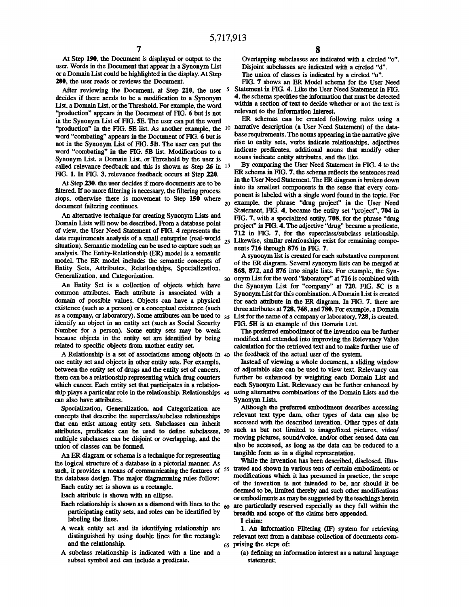At Step 190, the Document is displayed or output to the user. Words in the Document that appear in a Synonym List or a Domain List could be highlighted in the display. At Step 200. the user reads or reviews the Document

After reviewing the Document. at Step 210, the user *5*  decides if there needs to be a modification to a Synonym List, a Domain List, or the Threshold. For example. the word "production" appears in the Document of FIG. 6 but is not in the Synonym List of FIG. SE. The user can put the word "production" in the FIG. 5E list. As another example, the <sup>10</sup> narrative description (a User Need Statement) of the dataword "combating" appears in the Document of FIG. 6 but is not in the Synonym List of FIG. SB. The user can put the word "combating" in the FIG. 5B list. Modifications to a Synonym List. a Domain List, or Threshold by the user is called relevance feedback and this is shown as Step 26 in 15 FIG. 1. In FIG. 3, relevance feedback occurs at Step 220.

At Step 230, the user decides if more documents are to be filtered. If no more filtering is necessary, the filtering process stops, otherwise there is movement to Step 150 where steps, etherwise there is interesting to step 150 where 20<br>document faltering continues.

An alternative technique for creating Synonym Lists and Domain Lists will now be described. From a database point of view. the User Need Statement of FIG. 4 represents the data requirements analysis of a small enterprise (real-world situation). Semantic modeling can be used to capture such an analysis. The Entity-Relationship (ER) model is a semantic model. The ER model includes the semantic concepts of Entity Sets, Attributes, Relationships, Specialization,

An Entity Set is a collection of objects which have common attributes. Each attribute is associated with a domain of possible values. Objects can have a physical existence (such as a person) or a conceptual existence (such as a company, or laboratory). Some attributes can be used to  $35$ identify an object in an entity set (such as Social Security Number for a person). Some entity sets may be weak because objects in the entity set are identified by being related to specific objects from another entity set.

A Relationship is a set of associations among objects in 40 one entity set and objects in other entity sets. For example, between the entity set of drugs and the entity set of cancers, them can be a relationship representing which drug counters which cancer. Each entity set that participates in a relationship plays a particular role in the relationship. Relationships 45 using alternative combinations of the Domain Lists and the can also have attributes.

Specialization, Generalization, and Categorization are concepts that describe the superclass/subclass relationships that can exist among entity sets. Subclasses can inherit attributes, predicates can be used to define subclasses, *so*  multiple subclasses can be disjoint or overlapping, and the union of classes can be formed.

An ER diagram or schema is a technique for representing the logical structure of a database in a pictorial manner. As such, it provides a means of communicating the features of 55 trated and shown in various tens of certain embodiments or the database design. The major diagramming rules follow:

Each entity set is shown as a rectangle.

Each attribute is shown with an ellipse.

- Each relationship is shown as a diamond with lines to the  $_{60}$ participating entity sets, and roles can be identified by labeling the lines.
- A weak entity set and its identifying relationship are distinguished by using double lines for the rectangle and the relationship.
- A subclass relationship is indicated with a line and a subset symbol and can include a predicate.

Overlapping subclasses are indicated with a circled "o". Disjoint subclasses are indicated with a circled "d". The union of classes is indicated by a circled ''u".

FIG. 7 shows an ER Model schema for the User Need Statement in FIG. 4. Like the User Need Statement in FIG. 4, the schema specifies the information that must be detected within a section of text to decide whether or not the text is relevant to the Information Interest.

ER schemas can be created following rules using a base requirements. The nouns appearing in the narrative give rise to entity sets, verbs indicate relationships, adjectives indicate predicates, additional nouns that modify other nouns indicate entity attributes, and the like.

By comparing the User Need Statement in FIG. 4 to the ER schema in FIG. 7, the schema reflects the sentences read in the User Need Statement. The ER diagram is broken down into its smallest components in the sense that every component is labeled with a single word found in the topic. For example, the phrase "drug project" in the User Need Statement. FIG. 4, became the entity set "project", 704 in FIG. 7, with a specialized entity, 708, for the phrase "drug project" in FIG. 4. The adjective "drug" became a predicate, 712 in FIG. 7, for the superclass/subclass relationship. Likewise, similar relationships exist for remaining components 716 through 876 in FIG. 7.

A synonym list is created for each substantive component of the ER diagram. Several synonym lists can be merged at 868, 872, and 876 into single lists. For example. the Syn-Generalization, and Categorization.<br>30 onym List for the word "laboratory" at 716 is combined with the Synonym List for "company" at 720. FIG. SC is a Synonym List for this combination. A Domain List is created for each attribute in the ER diagram. In FIG. 7, there are three attributes at 728, 768, and 780. For example, a Domain List for the name of a company or laboratory, 728, is created. FIG. 5H is an example of this Domain List

> The preferred embodiment of the invention can be further modified and extended into improving the Relevancy Value calculation for the retrieved text and to make further use of the feedback of the actual user of the system.

> Instead of viewing a whole document, a sliding window of adjustable size can be used to view text. Relevancy can further be enhanced by weighting each Domain list and each Synonym List. Relevancy can be further enhanced by Synonym Lists.

> Although the preferred embodiment describes accessing relevant text type dam, other types of data can also be accessed with the described invention. Other types of data such as but not limited to image/fixed pictures, video/ moving pictures, sound/voice, and/or other sensed data can also be accessed, as long as the data can be reduced to a tangible form as in a digital representation.

> While the invention has been described, disclosed. illusmodifications which it has presumed in practice, the scope of the invention is not intended to be, nor should it be deemed to be, limited thereby and such other modifications or embodiments as may be suggested by the teachings herein are particularly reserved especially as they fall within the breadth and scope of the claims here appended

I claim:

1. An Information Filtering (JF) system for retrieving relevant text from a database collection of documents com-65 prising the steps of:

(a) defining an information interest as a natural language statement;